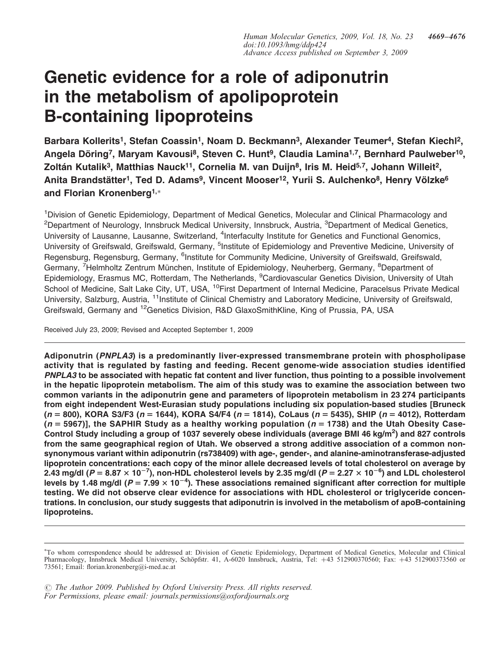# Genetic evidence for a role of adiponutrin in the metabolism of apolipoprotein B-containing lipoproteins

Barbara Kollerits<sup>1</sup>, Stefan Coassin<sup>1</sup>, Noam D. Beckmann<sup>3</sup>, Alexander Teumer<sup>4</sup>, Stefan Kiechl<sup>2</sup>, Angela Döring<sup>7</sup>, Maryam Kavousi<sup>8</sup>, Steven C. Hunt<sup>9</sup>, Claudia Lamina<sup>1,7</sup>, Bernhard Paulweber<sup>10</sup>, Zoltán Kutalik<sup>3</sup>, Matthias Nauck<sup>11</sup>, Cornelia M. van Duijn<sup>8</sup>, Iris M. Heid<sup>5,7</sup>, Johann Willeit<sup>2</sup>, Anita Brandstätter<sup>1</sup>, Ted D. Adams<sup>9</sup>, Vincent Mooser<sup>12</sup>, Yurii S. Aulchenko<sup>8</sup>, Henry Völzke<sup>6</sup> and Florian Kronenberg<sup>1,\*</sup>

<sup>1</sup>Division of Genetic Epidemiology, Department of Medical Genetics, Molecular and Clinical Pharmacology and <sup>2</sup>Department of Neurology, Innsbruck Medical University, Innsbruck, Austria, <sup>3</sup>Department of Medical Genetics, University of Lausanne, Lausanne, Switzerland, <sup>4</sup>Interfaculty Institute for Genetics and Functional Genomics, University of Greifswald, Greifswald, Germany, <sup>5</sup>Institute of Epidemiology and Preventive Medicine, University of Regensburg, Regensburg, Germany, <sup>6</sup>Institute for Community Medicine, University of Greifswald, Greifswald, Germany, <sup>7</sup>Helmholtz Zentrum München, Institute of Epidemiology, Neuherberg, Germany, <sup>8</sup>Department of Epidemiology, Erasmus MC, Rotterdam, The Netherlands, <sup>9</sup>Cardiovascular Genetics Division, University of Utah School of Medicine, Salt Lake City, UT, USA, <sup>10</sup>First Department of Internal Medicine, Paracelsus Private Medical University, Salzburg, Austria, <sup>11</sup>Institute of Clinical Chemistry and Laboratory Medicine, University of Greifswald, Greifswald, Germany and <sup>12</sup>Genetics Division, R&D GlaxoSmithKline, King of Prussia, PA, USA

Received July 23, 2009; Revised and Accepted September 1, 2009

Adiponutrin (PNPLA3) is a predominantly liver-expressed transmembrane protein with phospholipase activity that is regulated by fasting and feeding. Recent genome-wide association studies identified PNPLA3 to be associated with hepatic fat content and liver function, thus pointing to a possible involvement in the hepatic lipoprotein metabolism. The aim of this study was to examine the association between two common variants in the adiponutrin gene and parameters of lipoprotein metabolism in 23 274 participants from eight independent West-Eurasian study populations including six population-based studies [Bruneck  $(n = 800)$ , KORA S3/F3 (n = 1644), KORA S4/F4 (n = 1814), CoLaus (n = 5435), SHIP (n = 4012), Rotterdam  $(n = 5967)$ ], the SAPHIR Study as a healthy working population ( $n = 1738$ ) and the Utah Obesity Case-Control Study including a group of 1037 severely obese individuals (average BMI 46 kg/m<sup>2</sup>) and 827 controls from the same geographical region of Utah. We observed a strong additive association of a common nonsynonymous variant within adiponutrin (rs738409) with age-, gender-, and alanine-aminotransferase-adjusted lipoprotein concentrations: each copy of the minor allele decreased levels of total cholesterol on average by 2.43 mg/dl (P = 8.87  $\times$  10 $^{-7}$ ), non-HDL cholesterol levels by 2.35 mg/dl (P = 2.27  $\times$  10 $^{-6}$ ) and LDL cholesterol levels by 1.48 mg/dl (P = 7.99  $\times$  10<sup>-4</sup>). These associations remained significant after correction for multiple testing. We did not observe clear evidence for associations with HDL cholesterol or triglyceride concentrations. In conclusion, our study suggests that adiponutrin is involved in the metabolism of apoB-containing lipoproteins.

<sup>-</sup> To whom correspondence should be addressed at: Division of Genetic Epidemiology, Department of Medical Genetics, Molecular and Clinical Pharmacology, Innsbruck Medical University, Schöpfstr. 41, A-6020 Innsbruck, Austria, Tel: +43 512900370560; Fax: +43 512900373560 or 73561; Email: florian.kronenberg@i-med.ac.at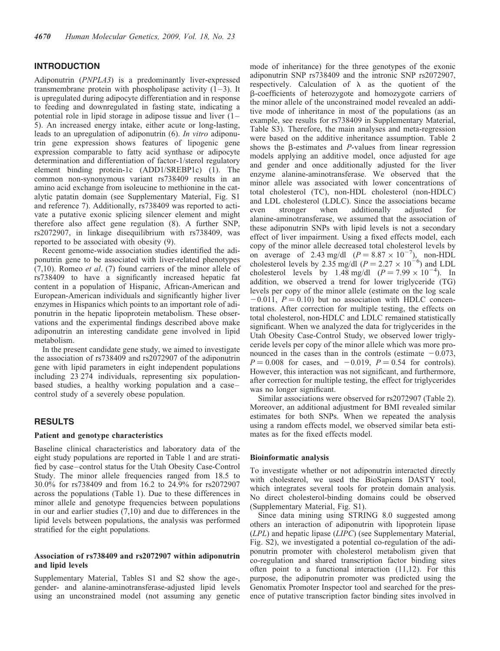# INTRODUCTION

Adiponutrin (PNPLA3) is a predominantly liver-expressed transmembrane protein with phospholipase activity  $(1-3)$ . It is upregulated during adipocyte differentiation and in response to feeding and downregulated in fasting state, indicating a potential role in lipid storage in adipose tissue and liver (1– 5). An increased energy intake, either acute or long-lasting, leads to an upregulation of adiponutrin (6). In vitro adiponutrin gene expression shows features of lipogenic gene expression comparable to fatty acid synthase or adipocyte determination and differentiation of factor-1/sterol regulatory element binding protein-1c (ADD1/SREBP1c) (1). The common non-synonymous variant rs738409 results in an amino acid exchange from isoleucine to methionine in the catalytic patatin domain (see Supplementary Material, Fig. S1 and reference 7). Additionally, rs738409 was reported to activate a putative exonic splicing silencer element and might therefore also affect gene regulation (8). A further SNP, rs2072907, in linkage disequilibrium with rs738409, was reported to be associated with obesity (9).

Recent genome-wide association studies identified the adiponutrin gene to be associated with liver-related phenotypes (7,10). Romeo et al. (7) found carriers of the minor allele of rs738409 to have a significantly increased hepatic fat content in a population of Hispanic, African-American and European-American individuals and significantly higher liver enzymes in Hispanics which points to an important role of adiponutrin in the hepatic lipoprotein metabolism. These observations and the experimental findings described above make adiponutrin an interesting candidate gene involved in lipid metabolism.

In the present candidate gene study, we aimed to investigate the association of rs738409 and rs2072907 of the adiponutrin gene with lipid parameters in eight independent populations including 23 274 individuals, representing six populationbased studies, a healthy working population and a case– control study of a severely obese population.

# **RESULTS**

# Patient and genotype characteristics

Baseline clinical characteristics and laboratory data of the eight study populations are reported in Table 1 and are stratified by case–control status for the Utah Obesity Case-Control Study. The minor allele frequencies ranged from 18.5 to 30.0% for rs738409 and from 16.2 to 24.9% for rs2072907 across the populations (Table 1). Due to these differences in minor allele and genotype frequencies between populations in our and earlier studies (7,10) and due to differences in the lipid levels between populations, the analysis was performed stratified for the eight populations.

## Association of rs738409 and rs2072907 within adiponutrin and lipid levels

Supplementary Material, Tables S1 and S2 show the age-, gender- and alanine-aminotransferase-adjusted lipid levels using an unconstrained model (not assuming any genetic mode of inheritance) for the three genotypes of the exonic adiponutrin SNP rs738409 and the intronic SNP rs2072907, respectively. Calculation of  $\lambda$  as the quotient of the b-coefficients of heterozygote and homozygote carriers of the minor allele of the unconstrained model revealed an additive mode of inheritance in most of the populations (as an example, see results for rs738409 in Supplementary Material, Table S3). Therefore, the main analyses and meta-regression were based on the additive inheritance assumption. Table 2 shows the  $\beta$ -estimates and P-values from linear regression models applying an additive model, once adjusted for age and gender and once additionally adjusted for the liver enzyme alanine-aminotransferase. We observed that the minor allele was associated with lower concentrations of total cholesterol (TC), non-HDL cholesterol (non-HDLC) and LDL cholesterol (LDLC). Since the associations became even stronger when additionally adjusted for alanine-aminotransferase, we assumed that the association of these adiponutrin SNPs with lipid levels is not a secondary effect of liver impairment. Using a fixed effects model, each copy of the minor allele decreased total cholesterol levels by on average of 2.43 mg/dl  $(P = 8.87 \times 10^{-7})$ , non-HDL cholesterol levels by 2.35 mg/dl  $(P = 2.27 \times 10^{-6})$  and LDL cholesterol levels by 1.48 mg/dl  $(P = 7.99 \times 10^{-4})$ . In addition, we observed a trend for lower triglyceride (TG) levels per copy of the minor allele (estimate on the log scale  $-0.011$ ,  $P = 0.10$ ) but no association with HDLC concentrations. After correction for multiple testing, the effects on total cholesterol, non-HDLC and LDLC remained statistically significant. When we analyzed the data for triglycerides in the Utah Obesity Case-Control Study, we observed lower triglyceride levels per copy of the minor allele which was more pronounced in the cases than in the controls (estimate  $-0.073$ ,  $P = 0.008$  for cases, and  $-0.019$ ,  $P = 0.54$  for controls). However, this interaction was not significant, and furthermore, after correction for multiple testing, the effect for triglycerides was no longer significant.

Similar associations were observed for rs2072907 (Table 2). Moreover, an additional adjustment for BMI revealed similar estimates for both SNPs. When we repeated the analysis using a random effects model, we observed similar beta estimates as for the fixed effects model.

#### Bioinformatic analysis

To investigate whether or not adiponutrin interacted directly with cholesterol, we used the BioSapiens DASTY tool, which integrates several tools for protein domain analysis. No direct cholesterol-binding domains could be observed (Supplementary Material, Fig. S1).

Since data mining using STRING 8.0 suggested among others an interaction of adiponutrin with lipoprotein lipase (LPL) and hepatic lipase (LIPC) (see Supplementary Material, Fig. S2), we investigated a potential co-regulation of the adiponutrin promoter with cholesterol metabolism given that co-regulation and shared transcription factor binding sites often point to a functional interaction (11,12). For this purpose, the adiponutrin promoter was predicted using the Genomatix Promoter Inspector tool and searched for the presence of putative transcription factor binding sites involved in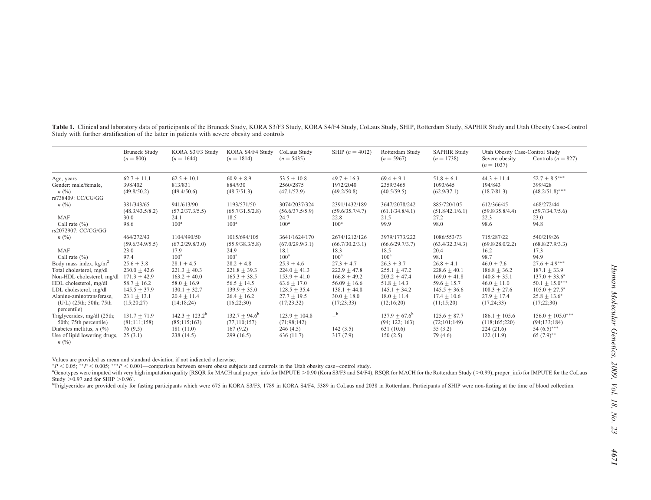|                                                                                                             | <b>Bruneck Study</b><br>$(n = 800)$                                  | KORA S3/F3 Study<br>$(n = 1644)$                                       | KORA S4/F4 Study<br>$(n = 1814)$                                   | CoLaus Study<br>$(n = 5435)$                                       | SHIP $(n = 4012)$                                                       | Rotterdam Study<br>$(n = 5967)$                                    | <b>SAPHIR Study</b><br>$(n = 1738)$                                | Utah Obesity Case-Control Study<br>Severe obesity<br>$(n = 1037)$  | Controls $(n = 827)$                                                            |
|-------------------------------------------------------------------------------------------------------------|----------------------------------------------------------------------|------------------------------------------------------------------------|--------------------------------------------------------------------|--------------------------------------------------------------------|-------------------------------------------------------------------------|--------------------------------------------------------------------|--------------------------------------------------------------------|--------------------------------------------------------------------|---------------------------------------------------------------------------------|
| Age, years<br>Gender: male/female,<br>n(%)<br>rs738409: CC/CG/GG                                            | $62.7 + 11.1$<br>398/402<br>(49.8/50.2)                              | $62.5 + 10.1$<br>813/831<br>(49.4/50.6)                                | $60.9 \pm 8.9$<br>884/930<br>(48.7/51.3)                           | $53.5 \pm 10.8$<br>2560/2875<br>(47.1/52.9)                        | $49.7 + 16.3$<br>1972/2040<br>(49.2/50.8)                               | $69.4 \pm 9.1$<br>2359/3465<br>(40.5/59.5)                         | $51.8 + 6.1$<br>1093/645<br>(62.9/37.1)                            | $44.3 + 11.4$<br>194/843<br>(18.7/81.3)                            | 52.7 $\pm$ 8.5***<br>399/428<br>$(48.2/51.8)$ ***                               |
| $n\ (\%)$<br><b>MAF</b><br>Call rate $(\% )$<br>rs2072907: CC/CG/GG                                         | 381/343/65<br>(48.3/43.5/8.2)<br>30.0<br>98.6                        | 941/613/90<br>(57.2/37.3/5.5)<br>24.1<br>$100^a$                       | 1193/571/50<br>(65.7/31.5/2.8)<br>18.5<br>$100^{\rm a}$            | 3074/2037/324<br>(56.6/37.5/5.9)<br>24.7<br>$100^{\rm a}$          | 2391/1432/189<br>(59.6/35.7/4.7)<br>22.8<br>$100^{\rm a}$               | 3647/2078/242<br>(61.1/34.8/4.1)<br>21.5<br>99.9                   | 885/720/105<br>(51.8/42.1/6.1)<br>27.2<br>98.0                     | 612/366/45<br>(59.8/35.8/4.4)<br>22.3<br>98.6                      | 468/272/44<br>(59.7/34.7/5.6)<br>23.0<br>94.8                                   |
| n(%)<br><b>MAF</b>                                                                                          | 464/272/43<br>(59.6/34.9/5.5)<br>23.0                                | 1104/490/50<br>(67.2/29.8/3.0)<br>17.9                                 | 1015/694/105<br>(55.9/38.3/5.8)<br>24.9                            | 3641/1624/170<br>(67.0/29.9/3.1)<br>18.1                           | 2674/1212/126<br>(66.7/30.2/3.1)<br>18.3                                | 3979/1773/222<br>(66.6/29.7/3.7)<br>18.5                           | 1086/553/73<br>(63.4/32.3/4.3)<br>20.4                             | 715/287/22<br>(69.8/28.0/2.2)<br>16.2                              | 540/219/26<br>(68.8/27.9/3.3)<br>17.3                                           |
| Call rate $(\% )$<br>Body mass index, $kg/m2$<br>Total cholesterol, mg/dl                                   | 97.4<br>$25.6 \pm 3.8$<br>$230.0 \pm 42.6$                           | 100 <sup>a</sup><br>$28.1 \pm 4.5$<br>$221.3 + 40.3$                   | 100 <sup>a</sup><br>$28.2 \pm 4.8$<br>$221.8 + 39.3$               | 100 <sup>a</sup><br>$25.9 \pm 4.6$<br>$224.0 + 41.3$               | 100 <sup>a</sup><br>$27.3 \pm 4.7$<br>$222.9 + 47.8$                    | 100 <sup>a</sup><br>$26.3 \pm 3.7$<br>$255.1 + 47.2$               | 98.1<br>$26.8 + 4.1$<br>$228.6 + 40.1$                             | 98.7<br>$46.0 + 7.6$<br>$186.8 + 36.2$                             | 94.9<br>$27.6 \pm 4.9***$<br>$187.1 + 33.9$                                     |
| Non-HDL cholesterol, mg/dl<br>HDL cholesterol, mg/dl<br>LDL cholesterol, mg/dl<br>Alanine-aminotransferase, | $171.3 + 42.9$<br>$58.7 + 16.2$<br>$145.5 \pm 37.9$<br>$23.1 + 13.1$ | $163.2 \pm 40.0$<br>$58.0 + 16.9$<br>$130.1 \pm 32.7$<br>$20.4 + 11.4$ | $165.3 + 38.5$<br>$56.5 + 14.5$<br>$139.9 + 35.0$<br>$26.4 + 16.2$ | $153.9 + 41.0$<br>$63.6 + 17.0$<br>$128.5 + 35.4$<br>$27.7 + 19.5$ | $166.8 + 49.2$<br>$56.09 + 16.6$<br>$138.1 \pm 44.8$<br>$30.0 \pm 18.0$ | $203.2 + 47.4$<br>$51.8 + 14.3$<br>$145.1 + 34.2$<br>$18.0 + 11.4$ | $169.0 + 41.8$<br>$59.6 + 15.7$<br>$145.5 + 36.6$<br>$17.4 + 10.6$ | $140.8 + 35.1$<br>$46.0 + 11.0$<br>$108.3 + 27.6$<br>$27.9 + 17.4$ | $137.0 + 33.6^*$<br>$50.1 \pm 15.0***$<br>$105.0 + 27.5^*$<br>$25.8 \pm 13.6^*$ |
| (U/L) (25th; 50th; 75th<br>percentile)<br>Triglycerides, mg/dl (25th;                                       | (15;20;27)<br>$131.7 \pm 71.9$                                       | (14;18;24)<br>$142.3 \pm 123.2^{\circ}$                                | (16;22;30)<br>$132.7 \pm 94.6^{\circ}$                             | (17;23;32)<br>$123.9 \pm 104.8$                                    | (17;23;33)<br>$-$ b                                                     | (12;16;20)<br>$137.9 + 67.6^b$                                     | (11;15;20)<br>$125.6 + 87.7$                                       | (17, 24; 33)<br>$186.1 \pm 105.6$                                  | (17;22;30)<br>$156.0 \pm 105.0***$                                              |
| 50th; 75th percentile)<br>Diabetes mellitus, $n$ (%)<br>Use of lipid lowering drugs,<br>$n\ (\%)$           | (81;111;158)<br>76(9.5)<br>25(3.1)                                   | (85;115;163)<br>181(11.0)<br>238 (14.5)                                | (77, 110; 157)<br>167(9.2)<br>299(16.5)                            | (71;98;142)<br>246(4.5)<br>636 (11.7)                              | 142(3.5)<br>317(7.9)                                                    | (94; 122; 163)<br>631(10.6)<br>150(2.5)                            | (72;101;149)<br>55(3.2)<br>79 (4.6)                                | (118;165;220)<br>224(21.6)<br>122(11.9)                            | (94;133;184)<br>54 $(6.5)$ ***<br>$65 (7.9)^{**}$                               |

Table 1. Clinical and laboratory data of participants of the Bruneck Study, KORA S3/F3 Study, KORA S4/F4 Study, CoLaus Study, SHIP, Rotterdam Study, SAPHIR Study and Utah Obesity Case-Control Study with further stratification of the latter in patients with severe obesity and controls

Values are provided as mean and standard deviation if not indicated otherwise.<br>\*P < 0.05; \*\*P < 0.005; \*\*\*P < 0.001—comparison between severe obese subjects and controls in the Utah obesity case–control study.

<sup>a</sup>Genotypes were imputed with very high imputation quality [RSQR for MACH and proper\_info for IMPUTE > 0.90 (Kora S3/F3 and S4/F4), RSQR for MACH for the Rotterdam Study (>0.99), proper\_info for IMPUTE for the CoLaus Study  $> 0.97$  and for SHIP  $> 0.96$ ].

<sup>b</sup>Triglycerides are provided only for fasting participants which were 675 in KORA S3/F3, 1789 in KORA S4/F4, 5389 in CoLaus and 2038 in Rotterdam. Participants of SHIP were non-fasting at the time of blood collection.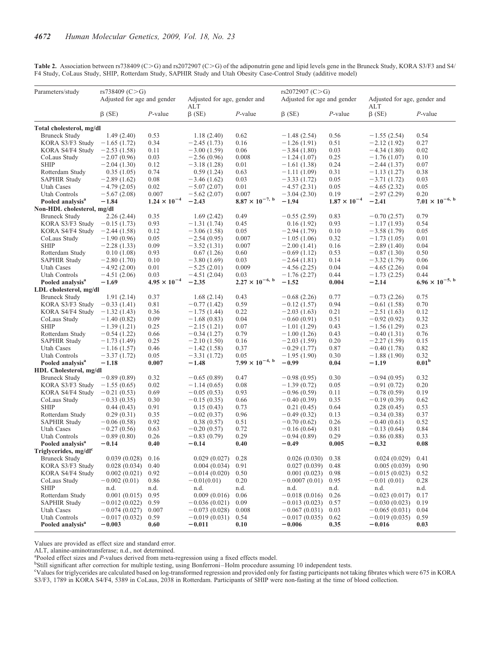Table 2. Association between rs738409 (C>G) and rs2072907 (C>G) of the adiponutrin gene and lipid levels gene in the Bruneck Study, KORA S3/F3 and S4/ F4 Study, CoLaus Study, SHIP, Rotterdam Study, SAPHIR Study and Utah Obesity Case-Control Study (additive model)

|                  |                                               | rs738409 (C>G)              |                       |                                     |                           | rs2072907 (C>G)             |                       |                                            |                           |  |
|------------------|-----------------------------------------------|-----------------------------|-----------------------|-------------------------------------|---------------------------|-----------------------------|-----------------------|--------------------------------------------|---------------------------|--|
| Parameters/study |                                               | Adjusted for age and gender |                       | Adjusted for age, gender and<br>ALT |                           | Adjusted for age and gender |                       | Adjusted for age, gender and<br><b>ALT</b> |                           |  |
|                  |                                               | $\beta$ (SE)                | $P$ -value            | $\beta$ (SE)                        | $P$ -value                | $\beta$ (SE)                | $P$ -value            | $\beta$ (SE)                               | $P$ -value                |  |
|                  | Total cholesterol, mg/dl                      |                             |                       |                                     |                           |                             |                       |                                            |                           |  |
|                  | <b>Bruneck Study</b>                          | 1.49(2.40)                  | 0.53                  | 1.18(2.40)                          | 0.62                      | $-1.48(2.54)$               | 0.56                  | $-1.55(2.54)$                              | 0.54                      |  |
|                  | KORA S3/F3 Study                              | $-1.65(1.72)$               | 0.34                  | $-2.45(1.73)$                       | 0.16                      | $-1.26(1.91)$               | 0.51                  | $-2.12(1.92)$                              | 0.27                      |  |
|                  | KORA S4/F4 Study                              | $-2.53(1.58)$               | 0.11                  | $-3.00(1.59)$                       | 0.06                      | $-3.84(1.80)$               | 0.03                  | $-4.34(1.80)$                              | 0.02                      |  |
|                  | CoLaus Study                                  | $-2.07(0.96)$               | 0.03                  | $-2.56(0.96)$                       | 0.008                     | $-1.24(1.07)$               | 0.25                  | $-1.76(1.07)$                              | 0.10                      |  |
| <b>SHIP</b>      |                                               | $-2.04(1.30)$               | 0.12                  | $-3.18(1.28)$                       | 0.01                      | $-1.61(1.38)$               | 0.24                  | $-2.44(1.37)$                              | 0.07                      |  |
|                  | Rotterdam Study                               | 0.35(1.05)                  | 0.74                  | 0.59(1.24)                          | 0.63                      | $-1.11(1.09)$               | 0.31                  | $-1.13(1.27)$                              | 0.38                      |  |
|                  | <b>SAPHIR Study</b>                           | $-2.89(1.62)$               | 0.08                  | $-3.46(1.62)$                       | 0.03                      | $-3.33(1.72)$               | 0.05                  | $-3.71(1.72)$                              | 0.03                      |  |
| Utah Cases       |                                               | $-4.79(2.05)$               | 0.02                  | $-5.07(2.07)$                       | 0.01                      | $-4.57(2.31)$               | 0.05                  | $-4.65(2.32)$                              | 0.05                      |  |
|                  | Utah Controls                                 | $-5.67(2.08)$               | 0.007                 | $-5.62(2.07)$                       | 0.007                     | $-3.04(2.30)$               | 0.19                  | $-2.97(2.29)$                              | 0.20                      |  |
|                  | Pooled analysis <sup>a</sup>                  | $-1.84$                     | $1.24 \times 10^{-4}$ | $-2.43$                             | $8.87\times10^{-7,\ b}$   | $-1.94$                     | $1.87 \times 10^{-4}$ | $-2.41$                                    | $7.01 \times 10^{-6}$ , b |  |
|                  | Non-HDL cholesterol, mg/dl                    |                             |                       |                                     |                           |                             |                       |                                            |                           |  |
|                  | <b>Bruneck Study</b>                          | 2.26(2.44)                  | 0.35                  | 1.69(2.42)                          | 0.49                      | $-0.55(2.59)$               | 0.83                  | $-0.70(2.57)$                              | 0.79                      |  |
|                  | KORA S3/F3 Study                              | $-0.15(1.73)$               | 0.93                  | $-1.31(1.74)$                       | 0.45                      | 0.16(1.92)                  | 0.93                  | $-1.17(1.93)$                              | 0.54                      |  |
|                  | KORA S4/F4 Study                              | $-2.44(1.58)$               | 0.12                  | $-3.06(1.58)$                       | 0.05                      | $-2.94(1.79)$               | 0.10                  | $-3.58(1.79)$                              | 0.05                      |  |
|                  | CoLaus Study                                  | $-1.90(0.96)$               | 0.05                  | $-2.54(0.95)$                       | 0.007                     | $-1.05(1.06)$               | 0.32                  | $-1.73(1.05)$                              | 0.01                      |  |
| <b>SHIP</b>      |                                               | $-2.28(1.33)$               | 0.09                  | $-3.52(1.31)$                       | 0.007                     | $-2.00(1.41)$               | 0.16                  | $-2.89(1.40)$                              | 0.04                      |  |
|                  | Rotterdam Study                               | 0.10(1.08)                  | 0.93                  | 0.67(1.26)                          | 0.60                      | $-0.69(1.12)$               | 0.53                  | $-0.87(1.30)$                              | 0.50                      |  |
|                  | <b>SAPHIR Study</b>                           | $-2.80(1.70)$               | 0.10                  | $-3.80(1.69)$                       | 0.03                      | $-2.64(1.81)$               | 0.14                  | $-3.32(1.79)$                              | 0.06                      |  |
| Utah Cases       |                                               | $-4.92(2.00)$               | 0.01                  | $-5.25(2.01)$                       | 0.009                     | $-4.56(2.25)$               | 0.04                  | $-4.65(2.26)$                              | 0.04                      |  |
|                  | Utah Controls                                 | $-4.51(2.06)$               | 0.03                  | $-4.51(2.04)$                       | 0.03                      | $-1.76(2.27)$               | 0.44                  | $-1.73(2.25)$                              | 0.44                      |  |
|                  | Pooled analysis <sup>a</sup>                  | $-1.69$                     | $4.95 \times 10^{-4}$ | $-2.35$                             | $2.27 \times 10^{-6}$ , b | $-1.52$                     | 0.004                 | $-2.14$                                    | $6.96 \times 10^{-5}$ , b |  |
|                  | LDL cholesterol, mg/dl                        |                             |                       |                                     |                           |                             |                       |                                            |                           |  |
|                  | <b>Bruneck Study</b>                          | 1.91(2.14)                  | 0.37                  | 1.68(2.14)                          | 0.43                      | $-0.68(2.26)$               | 0.77                  | $-0.73(2.26)$                              | 0.75                      |  |
|                  | KORA S3/F3 Study                              | $-0.33(1.41)$               | 0.81                  | $-0.77(1.42)$                       | 0.59                      | $-0.12(1.57)$               | 0.94                  | $-0.61(1.58)$                              | 0.70                      |  |
|                  | KORA S4/F4 Study                              | $-1.32(1.43)$               | 0.36                  | $-1.75(1.44)$                       | 0.22                      | $-2.03(1.63)$               | 0.21                  | $-2.51(1.63)$                              | 0.12                      |  |
|                  | CoLaus Study                                  | $-1.40(0.82)$               | 0.09                  | $-1.68(0.83)$                       | 0.04                      | $-0.60(0.91)$               | 0.51                  | $-0.92(0.92)$                              | 0.32                      |  |
| <b>SHIP</b>      |                                               | $-1.39(1.21)$               | 0.25                  | $-2.15(1.21)$                       | 0.07                      | $-1.01(1.29)$               | 0.43                  | $-1.56(1.29)$                              | 0.23                      |  |
|                  | Rotterdam Study                               | $-0.54(1.22)$               | 0.66                  | $-0.34(1.27)$                       | 0.79                      | $-1.00(1.26)$               | 0.43                  | $-0.40(1.31)$                              | 0.76                      |  |
|                  | <b>SAPHIR Study</b>                           | $-1.73(1.49)$               | 0.25                  | $-2.10(1.50)$                       | 0.16                      | $-2.03(1.59)$               | 0.20                  | $-2.27(1.59)$                              | 0.15                      |  |
| Utah Cases       |                                               | $-1.16(1.57)$               | 0.46                  | $-1.42(1.58)$                       | 0.37                      | $-0.29(1.77)$               | 0.87                  | $-0.40(1.78)$                              | 0.82                      |  |
|                  | Utah Controls                                 | $-3.37(1.72)$               | 0.05                  | $-3.31(1.72)$                       | 0.05                      | $-1.95(1.90)$               | 0.30                  | $-1.88(1.90)$                              | 0.32                      |  |
|                  | Pooled analysis <sup>a</sup>                  | $-1.18$                     | 0.007                 | $-1.48$                             | $7.99 \times 10^{-4}$ , b | $-0.99$                     | 0.04                  | $-1.19$                                    | 0.01 <sup>b</sup>         |  |
|                  | HDL Cholesterol, mg/dl                        |                             |                       |                                     |                           |                             |                       |                                            |                           |  |
|                  | <b>Bruneck Study</b>                          | $-0.89(0.89)$               | 0.32                  | $-0.65(0.89)$                       | 0.47                      | $-0.98(0.95)$               | 0.30                  | $-0.94(0.95)$                              | 0.32                      |  |
|                  | KORA S3/F3 Study                              | $-1.55(0.65)$               | 0.02                  | $-1.14(0.65)$                       | 0.08                      | $-1.39(0.72)$               | 0.05                  | $-0.91(0.72)$                              | 0.20                      |  |
|                  | KORA S4/F4 Study                              | $-0.21(0.53)$               | 0.69                  | $-0.05(0.53)$                       | 0.93                      | $-0.96(0.59)$               | 0.11                  | $-0.78(0.59)$                              | 0.19                      |  |
|                  | CoLaus Study                                  | $-0.33(0.35)$               | 0.30                  | $-0.15(0.35)$                       | 0.66                      | $-0.40(0.39)$               | 0.35                  | $-0.19(0.39)$                              | 0.62                      |  |
| <b>SHIP</b>      |                                               | 0.44(0.43)                  | 0.91                  | 0.15(0.43)                          | 0.73                      | 0.21(0.45)                  | 0.64                  | 0.28(0.45)                                 | 0.53                      |  |
|                  | Rotterdam Study                               | 0.29(0.31)                  | 0.35                  | $-0.02(0.37)$                       | 0.96                      | $-0.49(0.32)$               | 0.13                  | $-0.34(0.38)$                              | 0.37                      |  |
|                  | <b>SAPHIR Study</b>                           | $-0.06(0.58)$               | 0.92                  | 0.38(0.57)                          | 0.51                      | $-0.70(0.62)$               | 0.26                  | $-0.40(0.61)$                              | 0.52                      |  |
| Utah Cases       |                                               | $-0.27(0.56)$               | 0.63                  | $-0.20(0.57)$                       | 0.72                      | $-0.16(0.64)$               | 0.81                  | $-0.13(0.64)$                              | 0.84                      |  |
|                  | Utah Controls                                 | $-0.89(0.80)$               | 0.26                  | $-0.83(0.79)$                       | 0.29                      | $-0.94(0.89)$               | 0.29                  | $-0.86(0.88)$                              | 0.33                      |  |
|                  | Pooled analysis <sup>a</sup>                  | $-0.14$                     | 0.40                  | $-0.14$                             | 0.40                      | $-0.49$                     | 0.005                 | $-0.32$                                    | 0.08                      |  |
|                  | Triglycerides, mg/dl <sup>c</sup>             |                             |                       |                                     |                           |                             |                       |                                            |                           |  |
|                  | <b>Bruneck Study</b>                          | 0.039(0.028)                | 0.16                  | 0.029(0.027)                        | 0.28                      | 0.026(0.030)                | 0.38                  | 0.024(0.029)                               | 0.41                      |  |
|                  | KORA S3/F3 Study                              | 0.028(0.034)                | 0.40                  | 0.004(0.034)                        | 0.91                      | 0.027(0.039)                | 0.48                  | 0.005(0.039)                               | 0.90                      |  |
|                  | KORA S4/F4 Study                              | 0.002(0.021)                | 0.92                  | $-0.014(0.020)$                     | 0.50                      | 0.001(0.023)                | 0.98                  | $-0.015(0.023)$                            | 0.52                      |  |
|                  | CoLaus Study                                  | $-0.002(0.01)$              | 0.86                  | $-0.01(0.01)$                       | 0.20                      | $-0.0007(0.01)$             | 0.95                  | $-0.01(0.01)$                              | 0.28                      |  |
| SHIP             |                                               | n.d.                        | n.d.                  | n.d.                                | n.d.                      | n.d.                        | n.d.                  | n.d.                                       | n.d.                      |  |
|                  | Rotterdam Study                               | 0.001(0.015)                | 0.95                  | 0.009(0.016)                        | 0.06                      | $-0.018(0.016)$             | 0.26                  | $-0.023(0.017)$                            | 0.17                      |  |
|                  | <b>SAPHIR Study</b>                           | $-0.012(0.022)$             | 0.59                  | $-0.036(0.021)$                     | 0.09                      | $-0.013(0.023)$             | 0.57                  | $-0.030(0.023)$                            | 0.19                      |  |
| Utah Cases       |                                               | $-0.074(0.027)$             | 0.007                 | $-0.073(0.028)$                     | 0.008                     | $-0.067(0.031)$             | 0.03                  | $-0.065(0.031)$                            | 0.04                      |  |
|                  |                                               |                             |                       |                                     |                           |                             |                       |                                            |                           |  |
|                  | Utah Controls<br>Pooled analysis <sup>a</sup> | $-0.017(0.032)$             | 0.59<br>0.60          | $-0.019(0.031)$<br>$-0.011$         | 0.54<br>0.10              | $-0.017(0.035)$             | 0.62<br>0.35          | $-0.019(0.035)$<br>$-0.016$                | 0.59<br>0.03              |  |

Values are provided as effect size and standard error.

ALT, alanine-aminotransferase; n.d., not determined.

<sup>a</sup> Pooled effect sizes and *P*-values derived from meta-regression using a fixed effects model.

<sup>b</sup>Still significant after correction for multiple testing, using Bonferroni-Holm procedure assuming 10 independent tests.

c Values for triglycerides are calculated based on log-transformed regression and provided only for fasting participants not taking fibrates which were 675 in KORA S3/F3, 1789 in KORA S4/F4, 5389 in CoLaus, 2038 in Rotterdam. Participants of SHIP were non-fasting at the time of blood collection.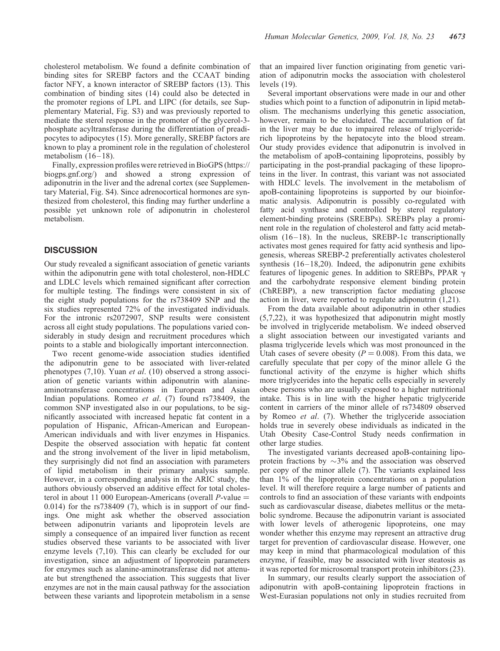cholesterol metabolism. We found a definite combination of binding sites for SREBP factors and the CCAAT binding factor NFY, a known interactor of SREBP factors (13). This combination of binding sites (14) could also be detected in the promoter regions of LPL and LIPC (for details, see Supplementary Material, Fig. S3) and was previously reported to mediate the sterol response in the promoter of the glycerol-3 phosphate acyltransferase during the differentiation of preadipocytes to adipocytes (15). More generally, SREBP factors are known to play a prominent role in the regulation of cholesterol metabolism  $(16-18)$ .

Finally, expression profiles were retrieved in BioGPS (https:// biogps.gnf.org/) and showed a strong expression of adiponutrin in the liver and the adrenal cortex (see Supplementary Material, Fig. S4). Since adrenocortical hormones are synthesized from cholesterol, this finding may further underline a possible yet unknown role of adiponutrin in cholesterol metabolism.

# **DISCUSSION**

Our study revealed a significant association of genetic variants within the adiponutrin gene with total cholesterol, non-HDLC and LDLC levels which remained significant after correction for multiple testing. The findings were consistent in six of the eight study populations for the rs738409 SNP and the six studies represented 72% of the investigated individuals. For the intronic rs2072907, SNP results were consistent across all eight study populations. The populations varied considerably in study design and recruitment procedures which points to a stable and biologically important interconnection.

Two recent genome-wide association studies identified the adiponutrin gene to be associated with liver-related phenotypes (7,10). Yuan et al. (10) observed a strong association of genetic variants within adiponutrin with alanineaminotransferase concentrations in European and Asian Indian populations. Romeo et al. (7) found rs738409, the common SNP investigated also in our populations, to be significantly associated with increased hepatic fat content in a population of Hispanic, African-American and European-American individuals and with liver enzymes in Hispanics. Despite the observed association with hepatic fat content and the strong involvement of the liver in lipid metabolism, they surprisingly did not find an association with parameters of lipid metabolism in their primary analysis sample. However, in a corresponding analysis in the ARIC study, the authors obviously observed an additive effect for total cholesterol in about 11 000 European-Americans (overall  $P$ -value  $=$ 0.014) for the rs738409  $(7)$ , which is in support of our findings. One might ask whether the observed association between adiponutrin variants and lipoprotein levels are simply a consequence of an impaired liver function as recent studies observed these variants to be associated with liver enzyme levels (7,10). This can clearly be excluded for our investigation, since an adjustment of lipoprotein parameters for enzymes such as alanine-aminotransferase did not attenuate but strengthened the association. This suggests that liver enzymes are not in the main causal pathway for the association between these variants and lipoprotein metabolism in a sense

that an impaired liver function originating from genetic variation of adiponutrin mocks the association with cholesterol levels (19).

Several important observations were made in our and other studies which point to a function of adiponutrin in lipid metabolism. The mechanisms underlying this genetic association, however, remain to be elucidated. The accumulation of fat in the liver may be due to impaired release of triglyceriderich lipoproteins by the hepatocyte into the blood stream. Our study provides evidence that adiponutrin is involved in the metabolism of apoB-containing lipoproteins, possibly by participating in the post-prandial packaging of these lipoproteins in the liver. In contrast, this variant was not associated with HDLC levels. The involvement in the metabolism of apoB-containing lipoproteins is supported by our bioinformatic analysis. Adiponutrin is possibly co-regulated with fatty acid synthase and controlled by sterol regulatory element-binding proteins (SREBPs). SREBPs play a prominent role in the regulation of cholesterol and fatty acid metabolism (16–18). In the nucleus, SREBP-1c transcriptionally activates most genes required for fatty acid synthesis and lipogenesis, whereas SREBP-2 preferentially activates cholesterol synthesis (16–18,20). Indeed, the adiponutrin gene exhibits features of lipogenic genes. In addition to SREBPs, PPAR  $\gamma$ and the carbohydrate responsive element binding protein (ChREBP), a new transcription factor mediating glucose action in liver, were reported to regulate adiponutrin (1,21).

From the data available about adiponutrin in other studies (5,7,22), it was hypothesized that adiponutrin might mostly be involved in triglyceride metabolism. We indeed observed a slight association between our investigated variants and plasma triglyceride levels which was most pronounced in the Utah cases of severe obesity ( $P = 0.008$ ). From this data, we carefully speculate that per copy of the minor allele G the functional activity of the enzyme is higher which shifts more triglycerides into the hepatic cells especially in severely obese persons who are usually exposed to a higher nutritional intake. This is in line with the higher hepatic triglyceride content in carriers of the minor allele of rs734809 observed by Romeo et al. (7). Whether the triglyceride association holds true in severely obese individuals as indicated in the Utah Obesity Case-Control Study needs confirmation in other large studies.

The investigated variants decreased apoB-containing lipoprotein fractions by  $\sim$ 3% and the association was observed per copy of the minor allele (7). The variants explained less than 1% of the lipoprotein concentrations on a population level. It will therefore require a large number of patients and controls to find an association of these variants with endpoints such as cardiovascular disease, diabetes mellitus or the metabolic syndrome. Because the adiponutrin variant is associated with lower levels of atherogenic lipoproteins, one may wonder whether this enzyme may represent an attractive drug target for prevention of cardiovascular disease. However, one may keep in mind that pharmacological modulation of this enzyme, if feasible, may be associated with liver steatosis as it was reported for microsomal transport protein inhibitors (23).

In summary, our results clearly support the association of adiponutrin with apoB-containing lipoprotein fractions in West-Eurasian populations not only in studies recruited from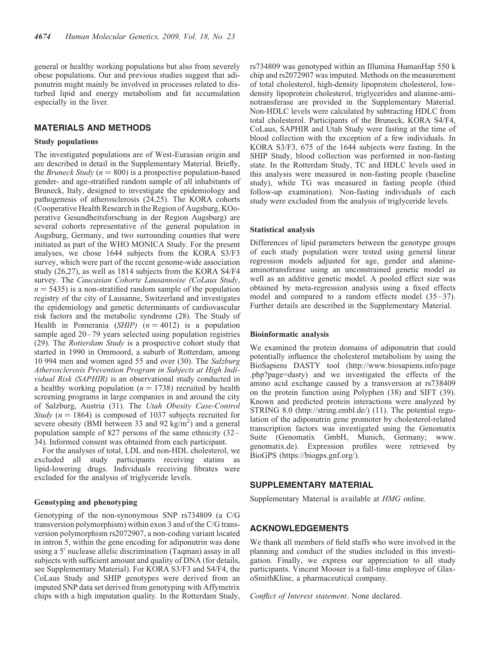general or healthy working populations but also from severely obese populations. Our and previous studies suggest that adiponutrin might mainly be involved in processes related to disturbed lipid and energy metabolism and fat accumulation especially in the liver.

# MATERIALS AND METHODS

#### Study populations

The investigated populations are of West-Eurasian origin and are described in detail in the Supplementary Material. Briefly, the *Bruneck Study* ( $n = 800$ ) is a prospective population-based gender- and age-stratified random sample of all inhabitants of Bruneck, Italy, designed to investigate the epidemiology and pathogenesis of atherosclerosis (24,25). The KORA cohorts (Cooperative Health Research in the Region of Augsburg, KOoperative Gesundheitsforschung in der Region Augsburg) are several cohorts representative of the general population in Augsburg, Germany, and two surrounding counties that were initiated as part of the WHO MONICA Study. For the present analyses, we chose 1644 subjects from the KORA S3/F3 survey, which were part of the recent genome-wide association study (26,27), as well as 1814 subjects from the KORA S4/F4 survey. The Caucasian Cohorte Lausannoise (CoLaus Study,  $n = 5435$ ) is a non-stratified random sample of the population registry of the city of Lausanne, Switzerland and investigates the epidemiology and genetic determinants of cardiovascular risk factors and the metabolic syndrome (28). The Study of Health in Pomerania (SHIP)  $(n = 4012)$  is a population sample aged 20–79 years selected using population registries (29). The Rotterdam Study is a prospective cohort study that started in 1990 in Ommoord, a suburb of Rotterdam, among 10 994 men and women aged 55 and over (30). The Salzburg Atherosclerosis Prevention Program in Subjects at High Individual Risk (SAPHIR) is an observational study conducted in a healthy working population ( $n = 1738$ ) recruited by health screening programs in large companies in and around the city of Salzburg, Austria (31). The Utah Obesity Case-Control Study ( $n = 1864$ ) is composed of 1037 subjects recruited for severe obesity (BMI between 33 and 92 kg/m<sup>2</sup>) and a general population sample of 827 persons of the same ethnicity (32– 34). Informed consent was obtained from each participant.

For the analyses of total, LDL and non-HDL cholesterol, we excluded all study participants receiving statins as lipid-lowering drugs. Individuals receiving fibrates were excluded for the analysis of triglyceride levels.

## Genotyping and phenotyping

Genotyping of the non-synonymous SNP rs734809 (a C/G transversion polymorphism) within exon 3 and of the C/G transversion polymorphism rs2072907, a non-coding variant located in intron 5, within the gene encoding for adiponutrin was done using a 5' nuclease allelic discrimination (Taqman) assay in all subjects with sufficient amount and quality of DNA (for details, see Supplementary Material). For KORA S3/F3 and S4/F4, the CoLaus Study and SHIP genotypes were derived from an imputed SNP data set derived from genotyping with Affymetrix chips with a high imputation quality. In the Rotterdam Study, rs734809 was genotyped within an Illumina HumanHap 550 k chip and rs2072907 was imputed. Methods on the measurement of total cholesterol, high-density lipoprotein cholesterol, lowdensity lipoprotein cholesterol, triglycerides and alanine-aminotransferase are provided in the Supplementary Material. Non-HDLC levels were calculated by subtracting HDLC from total cholesterol. Participants of the Bruneck, KORA S4/F4, CoLaus, SAPHIR and Utah Study were fasting at the time of blood collection with the exception of a few individuals. In KORA S3/F3, 675 of the 1644 subjects were fasting. In the SHIP Study, blood collection was performed in non-fasting state. In the Rotterdam Study, TC and HDLC levels used in this analysis were measured in non-fasting people (baseline study), while TG was measured in fasting people (third follow-up examination). Non-fasting individuals of each study were excluded from the analysis of triglyceride levels.

#### Statistical analysis

Differences of lipid parameters between the genotype groups of each study population were tested using general linear regression models adjusted for age, gender and alanineaminotransferase using an unconstrained genetic model as well as an additive genetic model. A pooled effect size was obtained by meta-regression analysis using a fixed effects model and compared to a random effects model (35–37). Further details are described in the Supplementary Material.

## Bioinformatic analysis

We examined the protein domains of adiponutrin that could potentially influence the cholesterol metabolism by using the BioSapiens DASTY tool (http://www.biosapiens.info/page .php?page=dasty) and we investigated the effects of the amino acid exchange caused by a transversion at rs738409 on the protein function using Polyphen (38) and SIFT (39). Known and predicted protein interactions were analyzed by STRING 8.0 (http://string.embl.de/) (11). The potential regulation of the adiponutrin gene promoter by cholesterol-related transcription factors was investigated using the Genomatix Suite (Genomatix GmbH, Munich, Germany; www. genomatix.de). Expression profiles were retrieved by BioGPS (https://biogps.gnf.org/).

# SUPPLEMENTARY MATERIAL

Supplementary Material is available at HMG online.

## ACKNOWLEDGEMENTS

We thank all members of field staffs who were involved in the planning and conduct of the studies included in this investigation. Finally, we express our appreciation to all study participants. Vincent Mooser is a full-time employee of GlaxoSmithKline, a pharmaceutical company.

Conflict of Interest statement. None declared.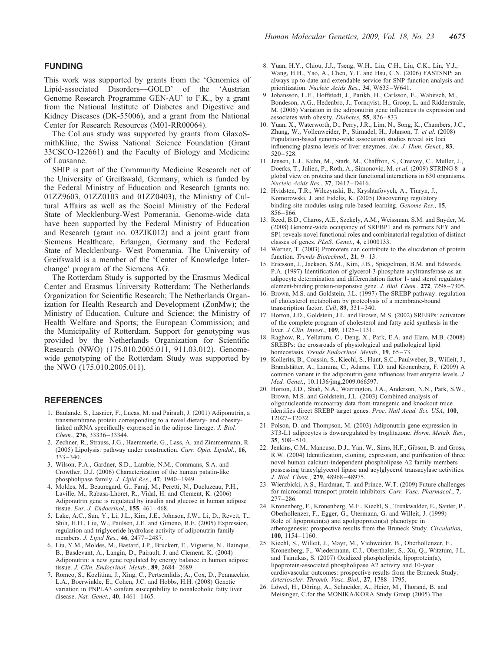This work was supported by grants from the 'Genomics of Lipid-associated Disorders—GOLD' of the 'Austrian Genome Research Programme GEN-AU' to F.K., by a grant from the National Institute of Diabetes and Digestive and Kidney Diseases (DK-55006), and a grant from the National Center for Research Resources (M01-RR00064).

The CoLaus study was supported by grants from GlaxoSmithKline, the Swiss National Science Foundation (Grant 33CSCO-122661) and the Faculty of Biology and Medicine of Lausanne.

SHIP is part of the Community Medicine Research net of the University of Greifswald, Germany, which is funded by the Federal Ministry of Education and Research (grants no. 01ZZ9603, 01ZZ0103 and 01ZZ0403), the Ministry of Cultural Affairs as well as the Social Ministry of the Federal State of Mecklenburg-West Pomerania. Genome-wide data have been supported by the Federal Ministry of Education and Research (grant no. 03ZIK012) and a joint grant from Siemens Healthcare, Erlangen, Germany and the Federal State of Mecklenburg- West Pomerania. The University of Greifswald is a member of the 'Center of Knowledge Interchange' program of the Siemens AG.

The Rotterdam Study is supported by the Erasmus Medical Center and Erasmus University Rotterdam; The Netherlands Organization for Scientific Research; The Netherlands Organization for Health Research and Development (ZonMw); the Ministry of Education, Culture and Science; the Ministry of Health Welfare and Sports; the European Commission; and the Municipality of Rotterdam. Support for genotyping was provided by the Netherlands Organization for Scientific Research (NWO) (175.010.2005.011, 911.03.012). Genomewide genotyping of the Rotterdam Study was supported by the NWO (175.010.2005.011).

## **REFERENCES**

- 1. Baulande, S., Lasnier, F., Lucas, M. and Pairault, J. (2001) Adiponutrin, a transmembrane protein corresponding to a novel dietary- and obesitylinked mRNA specifically expressed in the adipose lineage. J. Biol. Chem., 276, 33336–33344.
- 2. Zechner, R., Strauss, J.G., Haemmerle, G., Lass, A. and Zimmermann, R. (2005) Lipolysis: pathway under construction. Curr. Opin. Lipidol., 16, 333–340.
- 3. Wilson, P.A., Gardner, S.D., Lambie, N.M., Commans, S.A. and Crowther, D.J. (2006) Characterization of the human patatin-like phospholipase family. J. Lipid Res., 47, 1940–1949.
- 4. Moldes, M., Beauregard, G., Faraj, M., Peretti, N., Ducluzeau, P.H., Laville, M., Rabasa-Lhoret, R., Vidal, H. and Clement, K. (2006) Adiponutrin gene is regulated by insulin and glucose in human adipose tissue. Eur. J. Endocrinol., 155, 461–468.
- 5. Lake, A.C., Sun, Y., Li, J.L., Kim, J.E., Johnson, J.W., Li, D., Revett, T., Shih, H.H., Liu, W., Paulsen, J.E. and Gimeno, R.E. (2005) Expression, regulation and triglyceride hydrolase activity of adiponutrin family members. J. Lipid Res., 46, 2477–2487.
- 6. Liu, Y.M., Moldes, M., Bastard, J.P., Bruckert, E., Viguerie, N., Hainque, B., Basdevant, A., Langin, D., Pairault, J. and Clement, K. (2004) Adiponutrin: a new gene regulated by energy balance in human adipose tissue. J. Clin. Endocrinol. Metab., 89, 2684-2689.
- 7. Romeo, S., Kozlitina, J., Xing, C., Pertsemlidis, A., Cox, D., Pennacchio, L.A., Boerwinkle, E., Cohen, J.C. and Hobbs, H.H. (2008) Genetic variation in PNPLA3 confers susceptibility to nonalcoholic fatty liver disease. Nat. Genet., 40, 1461–1465.
- 8. Yuan, H.Y., Chiou, J.J., Tseng, W.H., Liu, C.H., Liu, C.K., Lin, Y.J., Wang, H.H., Yao, A., Chen, Y.T. and Hsu, C.N. (2006) FASTSNP: an always up-to-date and extendable service for SNP function analysis and prioritization. Nucleic Acids Res., 34, W635–W641.
- 9. Johansson, L.E., Hoffstedt, J., Parikh, H., Carlsson, E., Wabitsch, M., Bondeson, A.G., Hedenbro, J., Tornqvist, H., Groop, L. and Ridderstrale, M. (2006) Variation in the adiponutrin gene influences its expression and associates with obesity. Diabetes, 55, 826–833.
- 10. Yuan, X., Waterworth, D., Perry, J.R., Lim, N., Song, K., Chambers, J.C., Zhang, W., Vollenweider, P., Stirnadel, H., Johnson, T. et al. (2008) Population-based genome-wide association studies reveal six loci influencing plasma levels of liver enzymes. Am. J. Hum. Genet., 83, 520–528.
- 11. Jensen, L.J., Kuhn, M., Stark, M., Chaffron, S., Creevey, C., Muller, J., Doerks, T., Julien, P., Roth, A., Simonovic, M. et al. (2009) STRING 8-a global view on proteins and their functional interactions in 630 organisms. Nucleic Acids Res., 37, D412–D416.
- 12. Hvidsten, T.R., Wilczynski, B., Kryshtafovych, A., Tiuryn, J., Komorowski, J. and Fidelis, K. (2005) Discovering regulatory binding-site modules using rule-based learning. Genome Res., 15, 856–866.
- 13. Reed, B.D., Charos, A.E., Szekely, A.M., Weissman, S.M. and Snyder, M. (2008) Genome-wide occupancy of SREBP1 and its partners NFY and SP1 reveals novel functional roles and combinatorial regulation of distinct classes of genes. PLoS. Genet., 4, e1000133.
- 14. Werner, T. (2003) Promoters can contribute to the elucidation of protein function. Trends Biotechnol., 21, 9-13.
- 15. Ericsson, J., Jackson, S.M., Kim, J.B., Spiegelman, B.M. and Edwards, P.A. (1997) Identification of glycerol-3-phosphate acyltransferase as an adipocyte determination and differentiation factor 1- and sterol regulatory element-binding protein-responsive gene. J. Biol. Chem., 272, 7298-7305.
- 16. Brown, M.S. and Goldstein, J.L. (1997) The SREBP pathway: regulation of cholesterol metabolism by proteolysis of a membrane-bound transcription factor. Cell, 89, 331–340.
- 17. Horton, J.D., Goldstein, J.L. and Brown, M.S. (2002) SREBPs: activators of the complete program of cholesterol and fatty acid synthesis in the liver. J Clin. Invest., 109, 1125-1131.
- 18. Raghow, R., Yellaturu, C., Deng, X., Park, E.A. and Elam, M.B. (2008) SREBPs: the crossroads of physiological and pathological lipid homeostasis. Trends Endocrinol. Metab., 19, 65-73.
- 19. Kollerits, B., Coassin, S., Kiechl, S., Hunt, S.C., Paulweber, B., Willeit, J., Brandstätter, A., Lamina, C., Adams, T.D. and Kronenberg, F. (2009) A common variant in the adiponutrin gene influences liver enzyme levels. J. Med. Genet., 10.1136/jmg.2009.066597.
- 20. Horton, J.D., Shah, N.A., Warrington, J.A., Anderson, N.N., Park, S.W., Brown, M.S. and Goldstein, J.L. (2003) Combined analysis of oligonucleotide microarray data from transgenic and knockout mice identifies direct SREBP target genes. Proc. Natl Acad. Sci. USA, 100, 12027–12032.
- 21. Polson, D. and Thompson, M. (2003) Adiponutrin gene expression in 3T3-L1 adipocytes is downregulated by troglitazone. Horm. Metab. Res., 35, 508–510.
- 22. Jenkins, C.M., Mancuso, D.J., Yan, W., Sims, H.F., Gibson, B. and Gross, R.W. (2004) Identification, cloning, expression, and purification of three novel human calcium-independent phospholipase A2 family members possessing triacylglycerol lipase and acylglycerol transacylase activities. J. Biol. Chem., 279, 48968–48975.
- 23. Wierzbicki, A.S., Hardman, T. and Prince, W.T. (2009) Future challenges for microsomal transport protein inhibitors. Curr. Vasc. Pharmacol., 7, 277–286.
- 24. Kronenberg, F., Kronenberg, M.F., Kiechl, S., Trenkwalder, E., Santer, P., Oberhollenzer, F., Egger, G., Utermann, G. and Willeit, J. (1999) Role of lipoprotein(a) and apolipoprotein(a) phenotype in atherogenesis: prospective results from the Bruneck Study. Circulation, 100, 1154–1160.
- 25. Kiechl, S., Willeit, J., Mayr, M., Viehweider, B., Oberhollenzer, F., Kronenberg, F., Wiedermann, C.J., Oberthaler, S., Xu, Q., Witztum, J.L. and Tsimikas, S. (2007) Oxidized phospholipids, lipoprotein(a), lipoprotein-associated phospholipase A2 activity and 10-year cardiovascular outcomes: prospective results from the Bruneck Study. Arterioscler. Thromb. Vasc. Biol., 27, 1788–1795.
- 26. Löwel, H., Döring, A., Schneider, A., Heier, M., Thorand, B. and Meisinger, C.for the MONIKA/KORA Study Group (2005) The